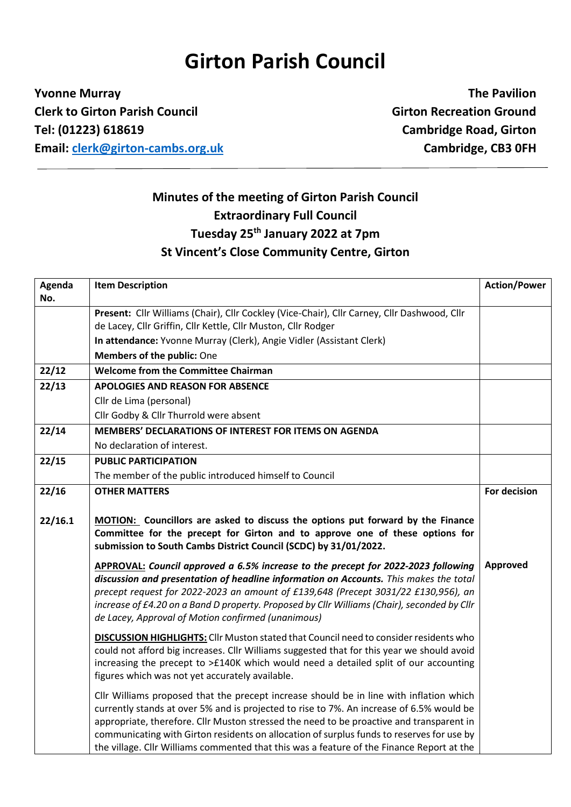## **Girton Parish Council**

**Yvonne Murray The Pavilion Clerk to Girton Parish Council Girton Recreation Ground Tel: (01223) 618619 Cambridge Road, Girton Email: [clerk@girton-cambs.org.uk](mailto:clerk@girton-cambs.org.uk) Cambridge, CB3 0FH**

## **Minutes of the meeting of Girton Parish Council Extraordinary Full Council Tuesday 25th January 2022 at 7pm St Vincent's Close Community Centre, Girton**

| Agenda  | <b>Item Description</b>                                                                                                                                                                                                                                                                                                                                                                                                                                                   | <b>Action/Power</b> |
|---------|---------------------------------------------------------------------------------------------------------------------------------------------------------------------------------------------------------------------------------------------------------------------------------------------------------------------------------------------------------------------------------------------------------------------------------------------------------------------------|---------------------|
| No.     |                                                                                                                                                                                                                                                                                                                                                                                                                                                                           |                     |
|         | Present: Cllr Williams (Chair), Cllr Cockley (Vice-Chair), Cllr Carney, Cllr Dashwood, Cllr                                                                                                                                                                                                                                                                                                                                                                               |                     |
|         | de Lacey, Cllr Griffin, Cllr Kettle, Cllr Muston, Cllr Rodger                                                                                                                                                                                                                                                                                                                                                                                                             |                     |
|         | In attendance: Yvonne Murray (Clerk), Angie Vidler (Assistant Clerk)                                                                                                                                                                                                                                                                                                                                                                                                      |                     |
|         | <b>Members of the public: One</b>                                                                                                                                                                                                                                                                                                                                                                                                                                         |                     |
| 22/12   | <b>Welcome from the Committee Chairman</b>                                                                                                                                                                                                                                                                                                                                                                                                                                |                     |
| 22/13   | <b>APOLOGIES AND REASON FOR ABSENCE</b>                                                                                                                                                                                                                                                                                                                                                                                                                                   |                     |
|         | Cllr de Lima (personal)                                                                                                                                                                                                                                                                                                                                                                                                                                                   |                     |
|         | Cllr Godby & Cllr Thurrold were absent                                                                                                                                                                                                                                                                                                                                                                                                                                    |                     |
| 22/14   | MEMBERS' DECLARATIONS OF INTEREST FOR ITEMS ON AGENDA                                                                                                                                                                                                                                                                                                                                                                                                                     |                     |
|         | No declaration of interest.                                                                                                                                                                                                                                                                                                                                                                                                                                               |                     |
| 22/15   | <b>PUBLIC PARTICIPATION</b>                                                                                                                                                                                                                                                                                                                                                                                                                                               |                     |
|         | The member of the public introduced himself to Council                                                                                                                                                                                                                                                                                                                                                                                                                    |                     |
| 22/16   | <b>OTHER MATTERS</b>                                                                                                                                                                                                                                                                                                                                                                                                                                                      | For decision        |
| 22/16.1 | MOTION: Councillors are asked to discuss the options put forward by the Finance<br>Committee for the precept for Girton and to approve one of these options for<br>submission to South Cambs District Council (SCDC) by 31/01/2022.                                                                                                                                                                                                                                       |                     |
|         | APPROVAL: Council approved a 6.5% increase to the precept for 2022-2023 following<br>discussion and presentation of headline information on Accounts. This makes the total<br>precept request for 2022-2023 an amount of £139,648 (Precept 3031/22 £130,956), an<br>increase of £4.20 on a Band D property. Proposed by Cllr Williams (Chair), seconded by Cllr<br>de Lacey, Approval of Motion confirmed (unanimous)                                                     | Approved            |
|         | DISCUSSION HIGHLIGHTS: Cllr Muston stated that Council need to consider residents who<br>could not afford big increases. Cllr Williams suggested that for this year we should avoid<br>increasing the precept to >£140K which would need a detailed split of our accounting<br>figures which was not yet accurately available.                                                                                                                                            |                     |
|         | Cllr Williams proposed that the precept increase should be in line with inflation which<br>currently stands at over 5% and is projected to rise to 7%. An increase of 6.5% would be<br>appropriate, therefore. Cllr Muston stressed the need to be proactive and transparent in<br>communicating with Girton residents on allocation of surplus funds to reserves for use by<br>the village. Cllr Williams commented that this was a feature of the Finance Report at the |                     |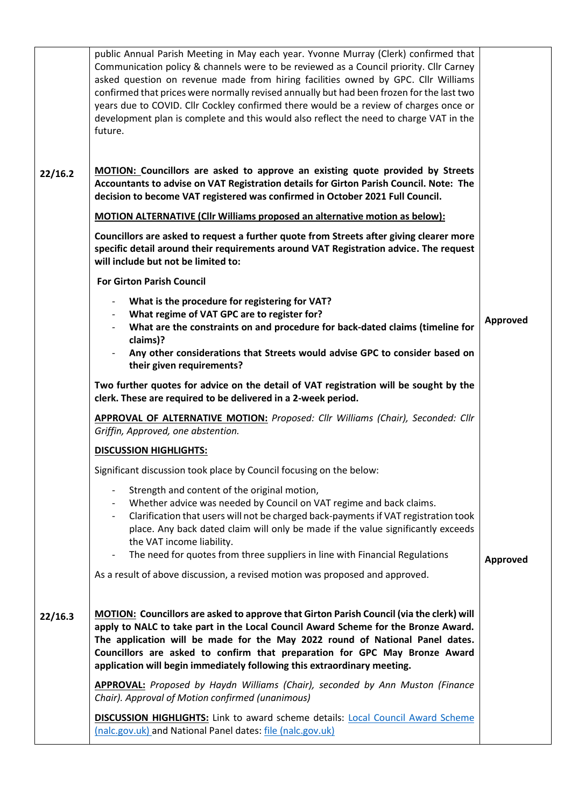|         | public Annual Parish Meeting in May each year. Yvonne Murray (Clerk) confirmed that<br>Communication policy & channels were to be reviewed as a Council priority. Cllr Carney<br>asked question on revenue made from hiring facilities owned by GPC. Cllr Williams<br>confirmed that prices were normally revised annually but had been frozen for the last two<br>years due to COVID. Cllr Cockley confirmed there would be a review of charges once or<br>development plan is complete and this would also reflect the need to charge VAT in the<br>future. |          |
|---------|---------------------------------------------------------------------------------------------------------------------------------------------------------------------------------------------------------------------------------------------------------------------------------------------------------------------------------------------------------------------------------------------------------------------------------------------------------------------------------------------------------------------------------------------------------------|----------|
| 22/16.2 | MOTION: Councillors are asked to approve an existing quote provided by Streets<br>Accountants to advise on VAT Registration details for Girton Parish Council. Note: The<br>decision to become VAT registered was confirmed in October 2021 Full Council.                                                                                                                                                                                                                                                                                                     |          |
|         | <b>MOTION ALTERNATIVE (CIIr Williams proposed an alternative motion as below):</b>                                                                                                                                                                                                                                                                                                                                                                                                                                                                            |          |
|         | Councillors are asked to request a further quote from Streets after giving clearer more<br>specific detail around their requirements around VAT Registration advice. The request<br>will include but not be limited to:                                                                                                                                                                                                                                                                                                                                       |          |
|         | <b>For Girton Parish Council</b>                                                                                                                                                                                                                                                                                                                                                                                                                                                                                                                              |          |
|         | What is the procedure for registering for VAT?<br>$\overline{\phantom{a}}$<br>What regime of VAT GPC are to register for?<br>What are the constraints on and procedure for back-dated claims (timeline for<br>claims)?<br>Any other considerations that Streets would advise GPC to consider based on<br>their given requirements?                                                                                                                                                                                                                            | Approved |
|         | Two further quotes for advice on the detail of VAT registration will be sought by the<br>clerk. These are required to be delivered in a 2-week period.                                                                                                                                                                                                                                                                                                                                                                                                        |          |
|         | <b>APPROVAL OF ALTERNATIVE MOTION:</b> Proposed: Cllr Williams (Chair), Seconded: Cllr<br>Griffin, Approved, one abstention.                                                                                                                                                                                                                                                                                                                                                                                                                                  |          |
|         | <b>DISCUSSION HIGHLIGHTS:</b>                                                                                                                                                                                                                                                                                                                                                                                                                                                                                                                                 |          |
|         | Significant discussion took place by Council focusing on the below:                                                                                                                                                                                                                                                                                                                                                                                                                                                                                           |          |
|         | Strength and content of the original motion,<br>$\overline{\phantom{a}}$<br>Whether advice was needed by Council on VAT regime and back claims.<br>$\overline{\phantom{a}}$<br>Clarification that users will not be charged back-payments if VAT registration took<br>$\overline{\phantom{a}}$<br>place. Any back dated claim will only be made if the value significantly exceeds<br>the VAT income liability.<br>The need for quotes from three suppliers in line with Financial Regulations                                                                | Approved |
|         | As a result of above discussion, a revised motion was proposed and approved.                                                                                                                                                                                                                                                                                                                                                                                                                                                                                  |          |
| 22/16.3 | MOTION: Councillors are asked to approve that Girton Parish Council (via the clerk) will<br>apply to NALC to take part in the Local Council Award Scheme for the Bronze Award.<br>The application will be made for the May 2022 round of National Panel dates.<br>Councillors are asked to confirm that preparation for GPC May Bronze Award<br>application will begin immediately following this extraordinary meeting.                                                                                                                                      |          |
|         | <b>APPROVAL:</b> Proposed by Haydn Williams (Chair), seconded by Ann Muston (Finance<br>Chair). Approval of Motion confirmed (unanimous)                                                                                                                                                                                                                                                                                                                                                                                                                      |          |
|         | <b>DISCUSSION HIGHLIGHTS:</b> Link to award scheme details: Local Council Award Scheme<br>(nalc.gov.uk) and National Panel dates: file (nalc.gov.uk)                                                                                                                                                                                                                                                                                                                                                                                                          |          |